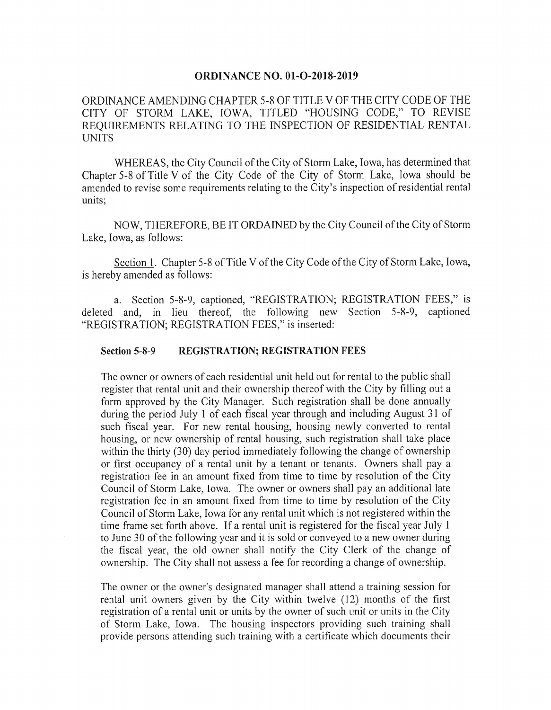#### **ORDINANCE NO. 01-O-2018-2019**

# ORDINANCE AMENDING CHAPTER 5-8 OF TITLE V OF THE CITY CODE OF THE CITY OF STORM LAKE, IOWA, TITLED "HOUSING CODE," TO REVISE REQUIREMENTS RELATING TO THE INSPECTION OF RESIDENTIAL RENTAL UNITS

WHEREAS, the City Council of the City of Storm Lake, Iowa, has determined that Chapter 5- <sup>8</sup> of Title V of the City Code of the City of Storm Lake, Iowa should be amended to revise some requirements relating to the City's inspection of residential rental units;

NOW, THEREFORE, BE IT ORDAINED by the City Council of the City of Storm Lake, Iowa, as follows:

Section 1. Chapter 5-8 of Title V of the City Code of the City of Storm Lake, Iowa, is hereby amended as follows:

a. Section 5-8-9, captioned, "REGISTRATION; REGISTRATION FEES," is deleted and, in lieu thereof, the following new Section 5-8-9, captioned "REGISTRATION; REGISTRATION FEES," is inserted:

## Section 5-8-9 REGISTRATION; REGISTRATION FEES

The owner or owners of each residential unit held out for rental to the public shall register that rental unit and their ownership thereof with the City by filling out a form approved by the City Manager. Such registration shall be done annually during the period July <sup>1</sup> of each fiscal year through and including August 31 of such fiscal year. For new rental housing, housing newly converted to rental housing, or new ownership of rental housing, such registration shall take place within the thirty (30) day period immediately following the change of ownership or first occupancy of a rental unit by a tenant or tenants. Owners shall pay a registration fee in an amount fixed from time to time by resolution of the City Council of Storm Lake, Iowa. The owner or owners shall pay an additional late registration fee in an amount fixed from time to time by resolution of the City Council of Storm Lake, Iowa for any rental unit which is not registered within the time frame set forth above. If a rental unit is registered for the fiscal year July <sup>1</sup> to June 30 of the following year and it is sold or conveyed to a new owner during the fiscal year, the old owner shall notify the City Clerk of the change of ownership. The City shall not assess a fee for recording a change of ownership.

The owner or the owner's designated manager shall attend a training session for rental unit owners given by the City within twelve (12) months of the first registration of a rental unit or units by the owner of such unit or units in the City of Storm Lake, Iowa. The housing inspectors providing such training shall provide persons attending such training with a certificate which documents their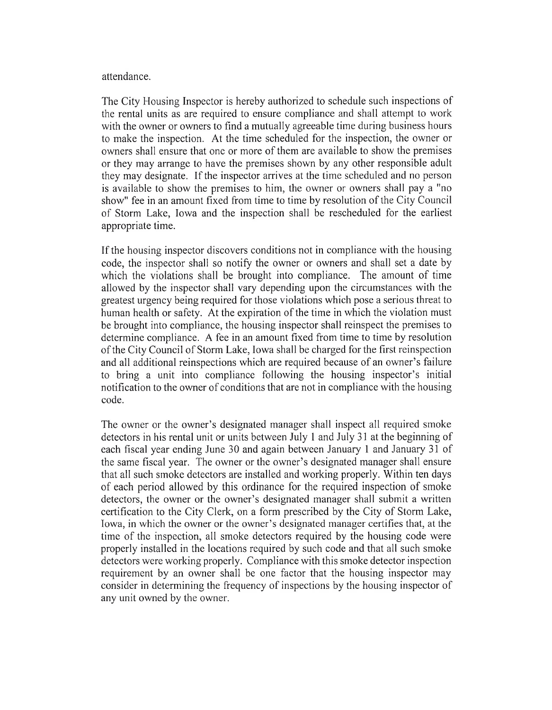## attendance.

The City Housing Inspector is hereby authorized to schedule such inspections of the rental units as are required to ensure compliance and shall attempt to work with the owner or owners to find a mutually agreeable time during business hours to make the inspection. At the time scheduled for the inspection, the owner or owners shall ensure that one or more of them are available to show the premises or they may arrange to have the premises shown by any other responsible adult they may designate. If the inspector arrives at the time scheduled and no person is available to show the premises to him, the owner or owners shall pay a " no show" fee in an amount fixed from time to time by resolution of the City Council of Storm Lake, Iowa and the inspection shall be rescheduled for the earliest appropriate time.

If the housing inspector discovers conditions not in compliance with the housing code, the inspector shall so notify the owner or owners and shall set a date by which the violations shall be brought into compliance. The amount of time allowed by the inspector shall vary depending upon the circumstances with the greatest urgency being required for those violations which pose a serious threat to human health or safety. At the expiration of the time in which the violation must be brought into compliance, the housing inspector shall reinspect the premises to determine compliance. A fee in an amount fixed from time to time by resolution ofthe City Council of Storm Lake, Iowa shall be charged for the first reinspection and all additional reinspections which are required because of an owner's failure to bring a unit into compliance following the housing inspector's initial notification to the owner of conditions that are not in compliance with the housing code.

The owner or the owner's designated manager shall inspect all required smoke detectors in his rental unit or units between July <sup>1</sup> and July 31 at the beginning of each fiscal year ending June 30 and again between January <sup>1</sup> and January 31 of the same fiscal year. The owner or the owner's designated manager shall ensure that all such smoke detectors are installed and working properly. Within ten days of each period allowed by this ordinance for the required inspection of smoke detectors, the owner or the owner's designated manager shall submit a written certification to the City Clerk, on a form prescribed by the City of Storm Lake, Iowa, in which the owner or the owner's designated manager certifies that, at the time of the inspection, all smoke detectors required by the housing code were properly installed in the locations required by such code and that all such smoke detectors were working properly. Compliance with this smoke detector inspection requirement by an owner shall be one factor that the housing inspector may consider in determining the frequency of inspections by the housing inspector of any unit owned by the owner.